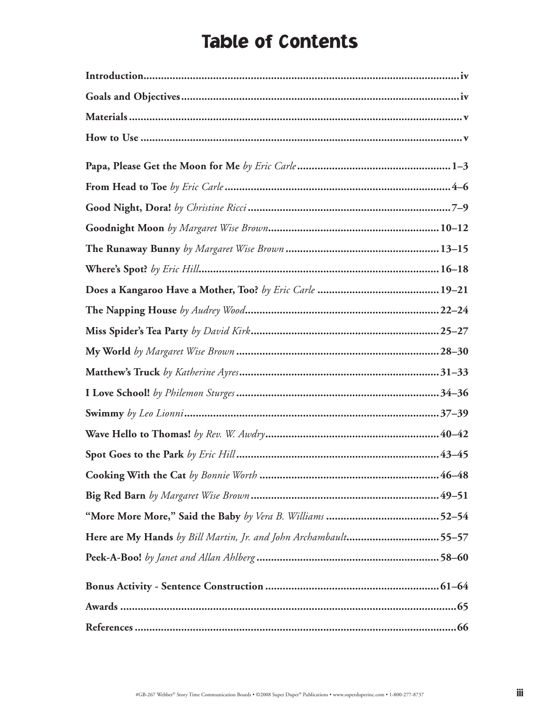## Table of Contents

| Here are My Hands by Bill Martin, Jr. and John Archambault55-57 |  |
|-----------------------------------------------------------------|--|
|                                                                 |  |
|                                                                 |  |
|                                                                 |  |
|                                                                 |  |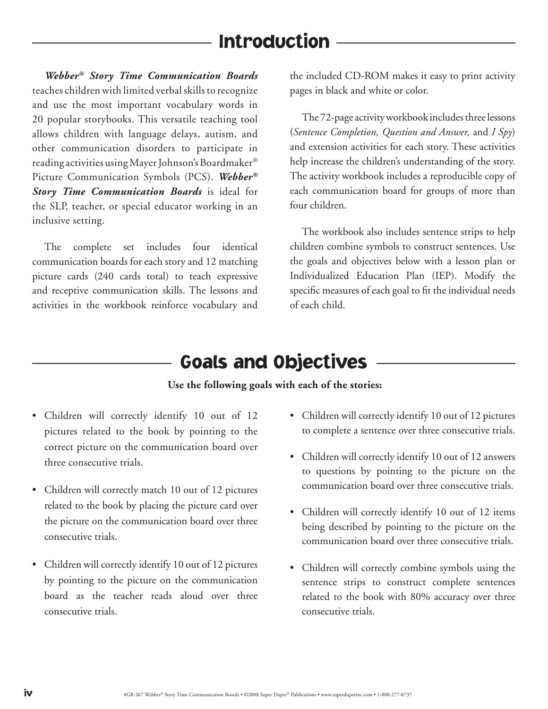## Introduction

*Webber® Story Time Communication Boards* teaches children with limited verbal skills to recognize and use the most important vocabulary words in 20 popular storybooks. This versatile teaching tool allows children with language delays, autism, and other communication disorders to participate in reading activities using Mayer Johnson's Boardmaker® Picture Communication Symbols (PCS). *Webber® Story Time Communication Boards* is ideal for the SLP, teacher, or special educator working in an inclusive setting.

The complete set includes four identical communication boards for each story and 12 matching picture cards (240 cards total) to teach expressive and receptive communication skills. The lessons and activities in the workbook reinforce vocabulary and the included CD-ROM makes it easy to print activity pages in black and white or color.

The 72-page activity workbook includes three lessons (*Sentence Completion, Question and Answer,* and *I Spy*) and extension activities for each story. These activities help increase the children's understanding of the story. The activity workbook includes a reproducible copy of each communication board for groups of more than four children.

The workbook also includes sentence strips to help children combine symbols to construct sentences. Use the goals and objectives below with a lesson plan or Individualized Education Plan (IEP). Modify the specific measures of each goal to fit the individual needs of each child.

### Goals and Objectives

#### **Use the following goals with each of the stories:**

- Children will correctly identify 10 out of 12 pictures related to the book by pointing to the correct picture on the communication board over three consecutive trials.
- Children will correctly match 10 out of 12 pictures related to the book by placing the picture card over the picture on the communication board over three consecutive trials.
- Children will correctly identify 10 out of 12 pictures by pointing to the picture on the communication board as the teacher reads aloud over three consecutive trials.
- Children will correctly identify 10 out of 12 pictures to complete a sentence over three consecutive trials.
- Children will correctly identify 10 out of 12 answers to questions by pointing to the picture on the communication board over three consecutive trials.
- Children will correctly identify 10 out of 12 items being described by pointing to the picture on the communication board over three consecutive trials.
- Children will correctly combine symbols using the sentence strips to construct complete sentences related to the book with 80% accuracy over three consecutive trials.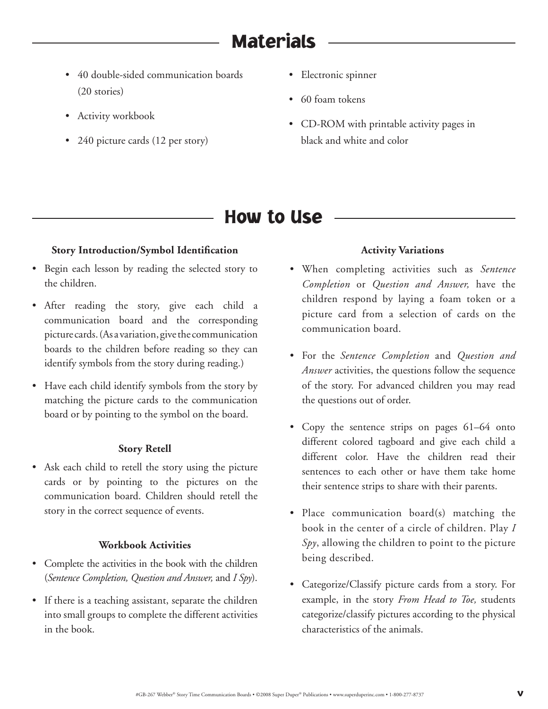# **Materials**

- 40 double-sided communication boards (20 stories)
- Activity workbook
- 240 picture cards (12 per story)
- Electronic spinner
- 60 foam tokens
- CD-ROM with printable activity pages in black and white and color

### How to Use

#### **Story Introduction/Symbol Identification**

- Begin each lesson by reading the selected story to the children.
- After reading the story, give each child a communication board and the corresponding picture cards. (As a variation, give the communication boards to the children before reading so they can identify symbols from the story during reading.)
- Have each child identify symbols from the story by matching the picture cards to the communication board or by pointing to the symbol on the board.

#### **Story Retell**

• Ask each child to retell the story using the picture cards or by pointing to the pictures on the communication board. Children should retell the story in the correct sequence of events.

#### **Workbook Activities**

- Complete the activities in the book with the children (*Sentence Completion, Question and Answer,* and *I Spy*).
- If there is a teaching assistant, separate the children into small groups to complete the different activities in the book.

#### **Activity Variations**

- When completing activities such as *Sentence Completion* or *Question and Answer,* have the children respond by laying a foam token or a picture card from a selection of cards on the communication board.
- For the *Sentence Completion* and *Question and Answer* activities, the questions follow the sequence of the story. For advanced children you may read the questions out of order.
- Copy the sentence strips on pages 61–64 onto different colored tagboard and give each child a different color. Have the children read their sentences to each other or have them take home their sentence strips to share with their parents.
- Place communication board(s) matching the book in the center of a circle of children. Play *I Spy*, allowing the children to point to the picture being described.
- Categorize/Classify picture cards from a story. For example, in the story *From Head to Toe,* students categorize/classify pictures according to the physical characteristics of the animals.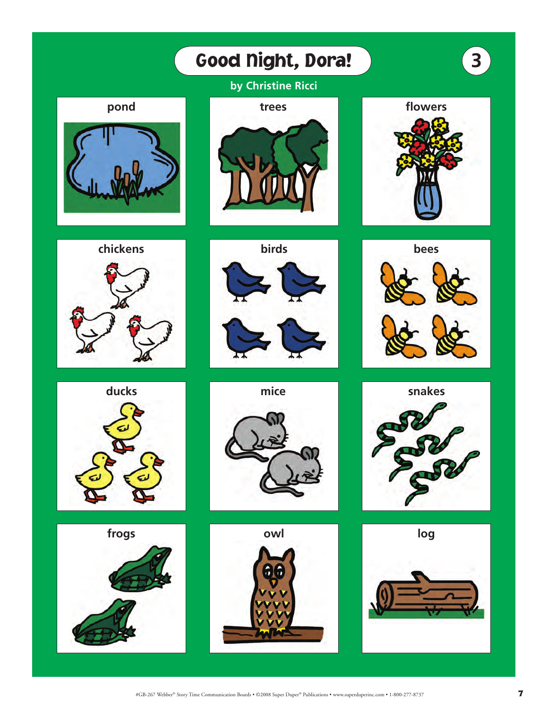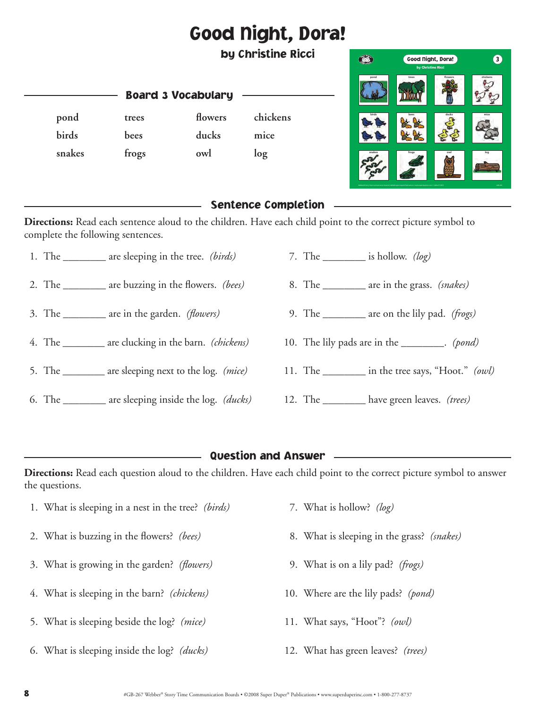# Good Night, Dora!

by Christine Ricci

|        | Good Night, Dora!<br>by Christine Ricci |         | 3        |  |
|--------|-----------------------------------------|---------|----------|--|
| pond   | trees                                   | flowers | chickens |  |
| birds  | bees                                    | ducks   | mice     |  |
| snakes | frogs                                   | owl     | log      |  |

#### Sentence Completion

**Directions:** Read each sentence aloud to the children. Have each child point to the correct picture symbol to complete the following sentences.

1. The \_\_\_\_\_\_\_\_ are sleeping in the tree. *(birds)*

Board 3 Vocabulary

**pond trees flowers chickens** 

**birds bees ducks mice snakes frogs owl log**

- 2. The \_\_\_\_\_\_\_\_ are buzzing in the flowers. *(bees)*
- 3. The \_\_\_\_\_\_\_\_ are in the garden. *(flowers)*
- 4. The \_\_\_\_\_\_\_\_ are clucking in the barn. *(chickens)*
- 5. The \_\_\_\_\_\_\_\_ are sleeping next to the log. *(mice)*
- 6. The \_\_\_\_\_\_\_\_ are sleeping inside the log. *(ducks)*
- 7. The \_\_\_\_\_\_\_\_ is hollow. *(log)*
- 8. The \_\_\_\_\_\_\_\_ are in the grass. *(snakes)*
- 9. The \_\_\_\_\_\_\_\_ are on the lily pad. *(frogs)*
- 10. The lily pads are in the \_\_\_\_\_\_\_\_. *(pond)*
- 11. The \_\_\_\_\_\_\_\_ in the tree says, "Hoot." *(owl)*
- 12. The \_\_\_\_\_\_\_\_ have green leaves. *(trees)*

#### Question and Answer

**Directions:** Read each question aloud to the children. Have each child point to the correct picture symbol to answer the questions.

- 1. What is sleeping in a nest in the tree? *(birds)*
- 2. What is buzzing in the flowers? *(bees)*
- 3. What is growing in the garden? *(flowers)*
- 4. What is sleeping in the barn? *(chickens)*
- 5. What is sleeping beside the log? *(mice)*
- 6. What is sleeping inside the log? *(ducks)*
- 7. What is hollow? *(log)*
- 8. What is sleeping in the grass? *(snakes)*
- 9. What is on a lily pad? *(frogs)*
- 10. Where are the lily pads? *(pond)*
- 11. What says, "Hoot"? *(owl)*
- 12. What has green leaves? *(trees)*